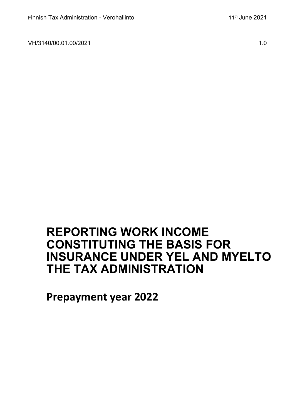VH/3140/00.01.00/2021 1.0

# **REPORTING WORK INCOME CONSTITUTING THE BASIS FOR INSURANCE UNDER YEL AND MYELTO THE TAX ADMINISTRATION**

**Prepayment year 2022**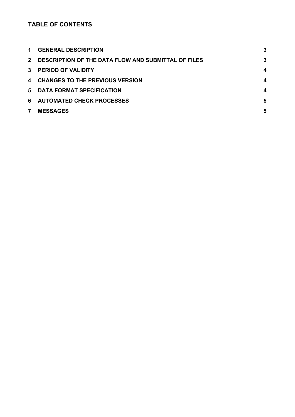## **TABLE OF CONTENTS**

| $\mathbf 1$  | <b>GENERAL DESCRIPTION</b>                          | 3 |
|--------------|-----------------------------------------------------|---|
| $2^{\circ}$  | DESCRIPTION OF THE DATA FLOW AND SUBMITTAL OF FILES | 3 |
| $\mathbf{3}$ | <b>PERIOD OF VALIDITY</b>                           | 4 |
|              | 4 CHANGES TO THE PREVIOUS VERSION                   | 4 |
| 5.           | <b>DATA FORMAT SPECIFICATION</b>                    | 4 |
| 6.           | <b>AUTOMATED CHECK PROCESSES</b>                    | 5 |
| 7            | <b>MESSAGES</b>                                     | 5 |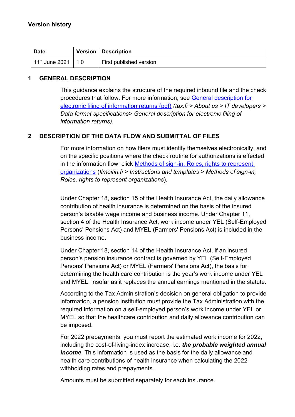| <b>Date</b>                 | Version   Description   |
|-----------------------------|-------------------------|
| $11th$ June 2021 $\mid 1.0$ | First published version |

### <span id="page-2-0"></span>**1 GENERAL DESCRIPTION**

This guidance explains the structure of the required inbound file and the check procedures that follow. For more information, see [General description for](https://www.vero.fi/contentassets/38c6e70f10b342cdba4716e904c3edbf/sahkoisen-ilmoittamisen-yleiskuvaus_6.4versio_engl.pdf)  [electronic filing of information returns \(pdf\)](https://www.vero.fi/contentassets/38c6e70f10b342cdba4716e904c3edbf/sahkoisen-ilmoittamisen-yleiskuvaus_6.4versio_engl.pdf) *(tax.fi > About us > IT developers > Data format specifications> General description for electronic filing of information returns)*.

#### <span id="page-2-1"></span>**2 DESCRIPTION OF THE DATA FLOW AND SUBMITTAL OF FILES**

For more information on how filers must identify themselves electronically, and on the specific positions where the check routine for authorizations is effected in the information flow, click [Methods of sign-in, Roles, rights to represent](https://www.ilmoitin.fi/webtamo/sivut/IlmoituslajiRoolit?kieli=en&tv=VKTYOSVA)  [organizations](https://www.ilmoitin.fi/webtamo/sivut/IlmoituslajiRoolit?kieli=en&tv=VKTYOSVA) (*[Ilmoitin.fi > Instructions and templates > Methods of sign-in,](https://www.ilmoitin.fi/webtamo/sivut/IlmoituslajiRoolit?tv=VSY02C)  [Roles, rights to represent organizations](https://www.ilmoitin.fi/webtamo/sivut/IlmoituslajiRoolit?tv=VSY02C)*).

Under Chapter 18, section 15 of the Health Insurance Act, the daily allowance contribution of health insurance is determined on the basis of the insured person's taxable wage income and business income. Under Chapter 11, section 4 of the Health Insurance Act, work income under YEL (Self-Employed Persons' Pensions Act) and MYEL (Farmers' Pensions Act) is included in the business income.

Under Chapter 18, section 14 of the Health Insurance Act, if an insured person's pension insurance contract is governed by YEL (Self-Employed Persons' Pensions Act) or MYEL (Farmers' Pensions Act), the basis for determining the health care contribution is the year's work income under YEL and MYEL, insofar as it replaces the annual earnings mentioned in the statute.

According to the Tax Administration's decision on general obligation to provide information, a pension institution must provide the Tax Administration with the required information on a self-employed person's work income under YEL or MYEL so that the healthcare contribution and daily allowance contribution can be imposed.

For 2022 prepayments, you must report the estimated work income for 2022, including the cost-of-living-index increase, i.e. *the probable weighted annual income*. This information is used as the basis for the daily allowance and health care contributions of health insurance when calculating the 2022 withholding rates and prepayments.

Amounts must be submitted separately for each insurance.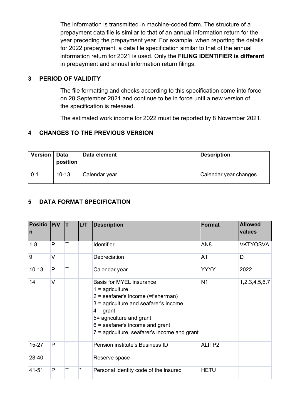The information is transmitted in machine-coded form. The structure of a prepayment data file is similar to that of an annual information return for the year preceding the prepayment year. For example, when reporting the details for 2022 prepayment, a data file specification similar to that of the annual information return for 2021 is used. Only the **FILING IDENTIFIER is different** in prepayment and annual information return filings.

#### <span id="page-3-0"></span>**3 PERIOD OF VALIDITY**

The file formatting and checks according to this specification come into force on 28 September 2021 and continue to be in force until a new version of the specification is released.

The estimated work income for 2022 must be reported by 8 November 2021.

#### <span id="page-3-1"></span>**4 CHANGES TO THE PREVIOUS VERSION**

| Version   Data | position  | Data element  | <b>Description</b>    |
|----------------|-----------|---------------|-----------------------|
| 0.1            | $10 - 13$ | Calendar year | Calendar year changes |

## <span id="page-3-2"></span>**5 DATA FORMAT SPECIFICATION**

| <b>Positio</b><br>$\overline{\mathsf{n}}$ | P/V          | T | LT | <b>Description</b>                                                                                                                                                                                                                                                    | Format          | <b>Allowed</b><br>values |
|-------------------------------------------|--------------|---|----|-----------------------------------------------------------------------------------------------------------------------------------------------------------------------------------------------------------------------------------------------------------------------|-----------------|--------------------------|
| $1 - 8$                                   | P            | Т |    | Identifier                                                                                                                                                                                                                                                            | AN <sub>8</sub> | <b>VKTYOSVA</b>          |
| 9                                         | $\vee$       |   |    | Depreciation                                                                                                                                                                                                                                                          | A1              | D                        |
| $10 - 13$                                 | $\mathsf{P}$ | T |    | Calendar year                                                                                                                                                                                                                                                         | <b>YYYY</b>     | 2022                     |
| 14                                        | $\vee$       |   |    | <b>Basis for MYEL insurance</b><br>$1 =$ agriculture<br>2 = seafarer's income (=fisherman)<br>3 = agriculture and seafarer's income<br>$4 =$ grant<br>5= agriculture and grant<br>$6$ = seafarer's income and grant<br>$7$ = agriculture, seafarer's income and grant | N <sub>1</sub>  | 1,2,3,4,5,6,7            |
| $15 - 27$                                 | P            | T |    | Pension institute's Business ID                                                                                                                                                                                                                                       | ALITP2          |                          |
| 28-40                                     |              |   |    | Reserve space                                                                                                                                                                                                                                                         |                 |                          |
| 41-51                                     | P            | Т | *  | Personal identity code of the insured                                                                                                                                                                                                                                 | <b>HETU</b>     |                          |